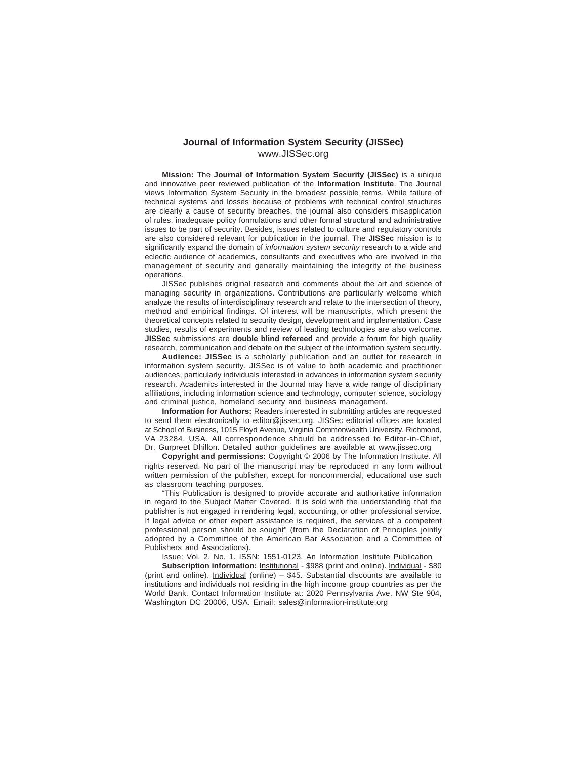### **Journal of Information System Security (JISSec)** www.JISSec.org

**Mission:** The **Journal of Information System Security (JISSec)** is a unique and innovative peer reviewed publication of the **Information Institute**. The Journal views Information System Security in the broadest possible terms. While failure of technical systems and losses because of problems with technical control structures are clearly a cause of security breaches, the journal also considers misapplication of rules, inadequate policy formulations and other formal structural and administrative issues to be part of security. Besides, issues related to culture and regulatory controls are also considered relevant for publication in the journal. The **JISSec** mission is to significantly expand the domain of information system security research to a wide and eclectic audience of academics, consultants and executives who are involved in the management of security and generally maintaining the integrity of the business operations.

JISSec publishes original research and comments about the art and science of managing security in organizations. Contributions are particularly welcome which analyze the results of interdisciplinary research and relate to the intersection of theory, method and empirical findings. Of interest will be manuscripts, which present the theoretical concepts related to security design, development and implementation. Case studies, results of experiments and review of leading technologies are also welcome. **JISSec** submissions are **double blind refereed** and provide a forum for high quality research, communication and debate on the subject of the information system security.

**Audience: JISSec** is a scholarly publication and an outlet for research in information system security. JISSec is of value to both academic and practitioner audiences, particularly individuals interested in advances in information system security research. Academics interested in the Journal may have a wide range of disciplinary affiliations, including information science and technology, computer science, sociology and criminal justice, homeland security and business management.

**Information for Authors:** Readers interested in submitting articles are requested to send them electronically to editor@jissec.org. JISSec editorial offices are located at School of Business, 1015 Floyd Avenue, Virginia Commonwealth University, Richmond, VA 23284, USA. All correspondence should be addressed to Editor-in-Chief, Dr. Gurpreet Dhillon. Detailed author guidelines are available at www.jissec.org

**Copyright and permissions:** Copyright © 2006 by The Information Institute. All rights reserved. No part of the manuscript may be reproduced in any form without written permission of the publisher, except for noncommercial, educational use such as classroom teaching purposes.

"This Publication is designed to provide accurate and authoritative information in regard to the Subject Matter Covered. It is sold with the understanding that the publisher is not engaged in rendering legal, accounting, or other professional service. If legal advice or other expert assistance is required, the services of a competent professional person should be sought" (from the Declaration of Principles jointly adopted by a Committee of the American Bar Association and a Committee of Publishers and Associations).

Issue: Vol. 2, No. 1. ISSN: 1551-0123. An Information Institute Publication

**Subscription information: Institutional - \$988 (print and online). Individual - \$80** (print and online). Individual (online) – \$45. Substantial discounts are available to institutions and individuals not residing in the high income group countries as per the World Bank. Contact Information Institute at: 2020 Pennsylvania Ave. NW Ste 904, Washington DC 20006, USA. Email: sales@information-institute.org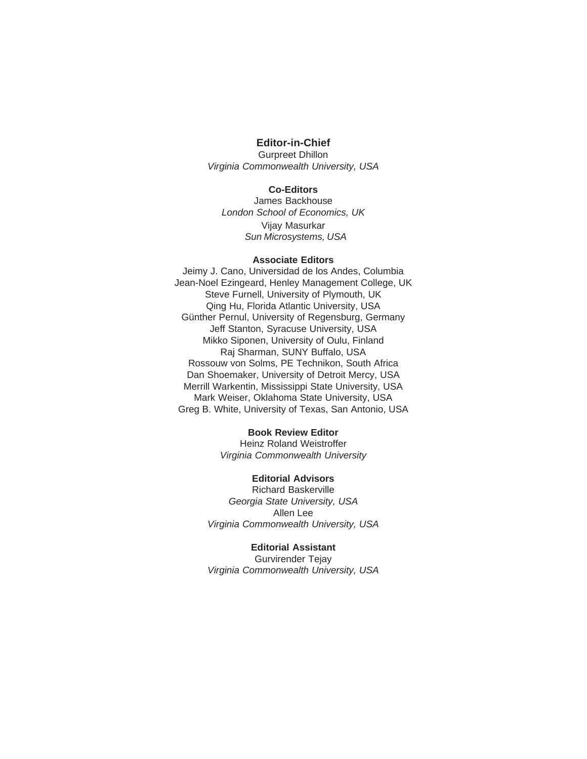# **Editor-in-Chief**

Gurpreet Dhillon Virginia Commonwealth University, USA

### **Co-Editors**

James Backhouse London School of Economics, UK Vijay Masurkar Sun Microsystems, USA

#### **Associate Editors**

Jeimy J. Cano, Universidad de los Andes, Columbia Jean-Noel Ezingeard, Henley Management College, UK Steve Furnell, University of Plymouth, UK Qing Hu, Florida Atlantic University, USA Günther Pernul, University of Regensburg, Germany Jeff Stanton, Syracuse University, USA Mikko Siponen, University of Oulu, Finland Raj Sharman, SUNY Buffalo, USA Rossouw von Solms, PE Technikon, South Africa Dan Shoemaker, University of Detroit Mercy, USA Merrill Warkentin, Mississippi State University, USA Mark Weiser, Oklahoma State University, USA Greg B. White, University of Texas, San Antonio, USA

## **Book Review Editor**

Heinz Roland Weistroffer Virginia Commonwealth University

#### **Editorial Advisors**

Richard Baskerville Georgia State University, USA Allen Lee Virginia Commonwealth University, USA

#### **Editorial Assistant**

Gurvirender Tejay Virginia Commonwealth University, USA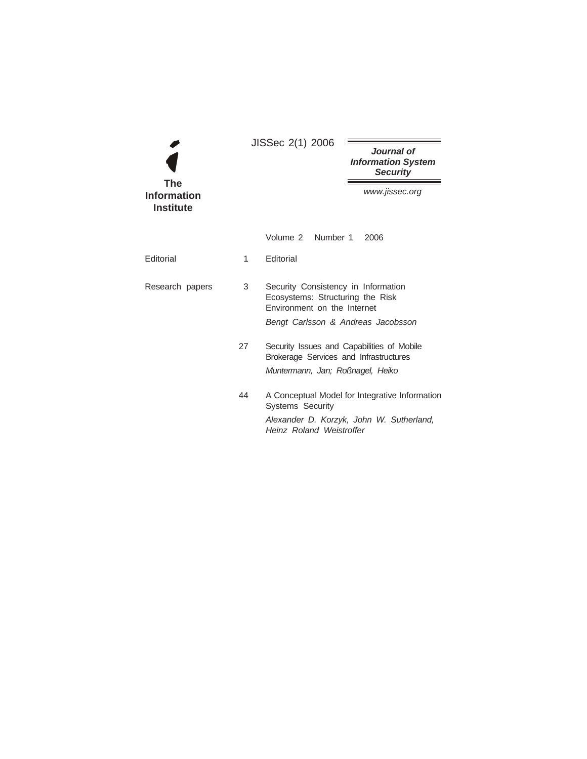|                                               | JISSec 2(1) 2006                                                                           |                                                                                                        |                                                            |  |
|-----------------------------------------------|--------------------------------------------------------------------------------------------|--------------------------------------------------------------------------------------------------------|------------------------------------------------------------|--|
|                                               |                                                                                            |                                                                                                        | Journal of<br><b>Information System</b><br><b>Security</b> |  |
| <b>The</b><br>Information<br><b>Institute</b> |                                                                                            |                                                                                                        | www.jissec.org                                             |  |
|                                               |                                                                                            | Volume 2 Number 1                                                                                      | 2006                                                       |  |
| Editorial                                     | 1                                                                                          | <b>Editorial</b>                                                                                       |                                                            |  |
| Research papers                               | 3                                                                                          | Security Consistency in Information<br>Ecosystems: Structuring the Risk<br>Environment on the Internet |                                                            |  |
|                                               |                                                                                            | Bengt Carlsson & Andreas Jacobsson                                                                     |                                                            |  |
|                                               | 27<br>Security Issues and Capabilities of Mobile<br>Brokerage Services and Infrastructures |                                                                                                        |                                                            |  |
|                                               |                                                                                            | Muntermann, Jan; Roßnagel, Heiko                                                                       |                                                            |  |
|                                               | 44                                                                                         | <b>Systems Security</b>                                                                                | A Conceptual Model for Integrative Information             |  |
|                                               |                                                                                            | Heinz Roland Weistroffer                                                                               | Alexander D. Korzyk, John W. Sutherland,                   |  |